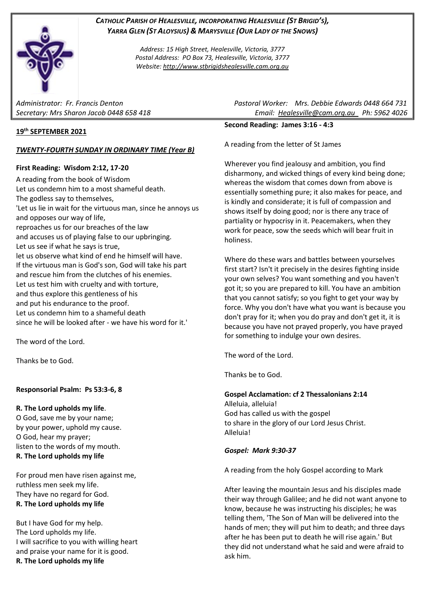## *CATHOLIC PARISH OF HEALESVILLE, INCORPORATING HEALESVILLE (ST BRIGID'S), YARRA GLEN (ST ALOYSIUS) & MARYSVILLE (OUR LADY OF THE SNOWS)*

*Address: 15 High Street, Healesville, Victoria, 3777 Postal Address: PO Box 73, Healesville, Victoria, 3777 Website: [http://www.stbrigidshealesville.cam.org.au](http://www.stbrigidshealesville.cam.org.au/)*

## **19 th SEPTEMBER 2021**

## *TWENTY-FOURTH SUNDAY IN ORDINARY TIME (Year B)*

#### **First Reading: Wisdom 2:12, 17-20**

A reading from the book of Wisdom Let us condemn him to a most shameful death. The godless say to themselves, 'Let us lie in wait for the virtuous man, since he annoys us and opposes our way of life, reproaches us for our breaches of the law and accuses us of playing false to our upbringing. Let us see if what he says is true, let us observe what kind of end he himself will have. If the virtuous man is God's son, God will take his part and rescue him from the clutches of his enemies. Let us test him with cruelty and with torture, and thus explore this gentleness of his and put his endurance to the proof. Let us condemn him to a shameful death since he will be looked after - we have his word for it.'

The word of the Lord.

Thanks be to God.

## **Responsorial Psalm: Ps 53:3-6, 8**

## **R. The Lord upholds my life**.

O God, save me by your name; by your power, uphold my cause. O God, hear my prayer; listen to the words of my mouth. **R. The Lord upholds my life**

For proud men have risen against me, ruthless men seek my life. They have no regard for God. **R. The Lord upholds my life**

But I have God for my help. The Lord upholds my life. I will sacrifice to you with willing heart and praise your name for it is good. **R. The Lord upholds my life**

*Administrator: Fr. Francis Denton Pastoral Worker: Mrs. Debbie Edwards 0448 664 731 Secretary: Mrs Sharon Jacob 0448 658 418 Email: [Healesville@cam.org.au](mailto:Healesville@cam.org.au) Ph: 5962 4026* 

#### **Second Reading: James 3:16 - 4:3**

A reading from the letter of St James

Wherever you find jealousy and ambition, you find disharmony, and wicked things of every kind being done; whereas the wisdom that comes down from above is essentially something pure; it also makes for peace, and is kindly and considerate; it is full of compassion and shows itself by doing good; nor is there any trace of partiality or hypocrisy in it. Peacemakers, when they work for peace, sow the seeds which will bear fruit in holiness.

Where do these wars and battles between yourselves first start? Isn't it precisely in the desires fighting inside your own selves? You want something and you haven't got it; so you are prepared to kill. You have an ambition that you cannot satisfy; so you fight to get your way by force. Why you don't have what you want is because you don't pray for it; when you do pray and don't get it, it is because you have not prayed properly, you have prayed for something to indulge your own desires.

The word of the Lord.

Thanks be to God.

**Gospel Acclamation: cf 2 Thessalonians 2:14** Alleluia, alleluia! God has called us with the gospel to share in the glory of our Lord Jesus Christ. Alleluia!

## *Gospel: Mark 9:30-37*

A reading from the holy Gospel according to Mark

After leaving the mountain Jesus and his disciples made their way through Galilee; and he did not want anyone to know, because he was instructing his disciples; he was telling them, 'The Son of Man will be delivered into the hands of men; they will put him to death; and three days after he has been put to death he will rise again.' But they did not understand what he said and were afraid to ask him.

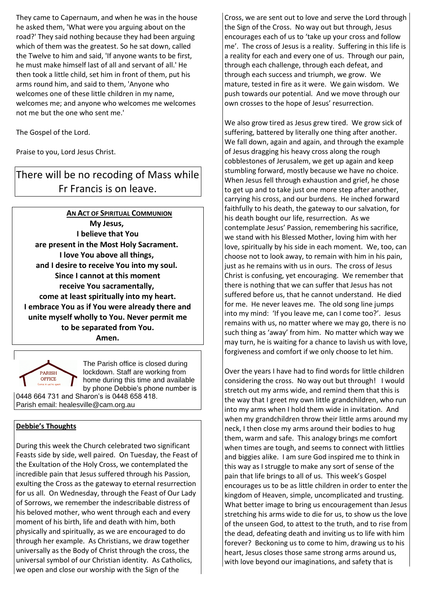They came to Capernaum, and when he was in the house he asked them, 'What were you arguing about on the road?' They said nothing because they had been arguing which of them was the greatest. So he sat down, called the Twelve to him and said, 'If anyone wants to be first, he must make himself last of all and servant of all.' He then took a little child, set him in front of them, put his arms round him, and said to them, 'Anyone who welcomes one of these little children in my name, welcomes me; and anyone who welcomes me welcomes not me but the one who sent me.'

The Gospel of the Lord.

Praise to you, Lord Jesus Christ.

There will be no recoding of Mass while Fr Francis is on leave.

**AN ACT OF SPIRITUAL COMMUNION My Jesus, I believe that You are present in the Most Holy Sacrament. I love You above all things, and I desire to receive You into my soul. Since I cannot at this moment receive You sacramentally, come at least spiritually into my heart. I embrace You as if You were already there and unite myself wholly to You. Never permit me to be separated from You. Amen.**



The Parish office is closed during lockdown. Staff are working from home during this time and available by phone Debbie's phone number is

0448 664 731 and Sharon's is 0448 658 418. Parish email: healesville@cam.org.au

## **Debbie's Thoughts**

During this week the Church celebrated two significant Feasts side by side, well paired. On Tuesday, the Feast of the Exultation of the Holy Cross, we contemplated the incredible pain that Jesus suffered through his Passion, exulting the Cross as the gateway to eternal resurrection for us all. On Wednesday, through the Feast of Our Lady of Sorrows, we remember the indescribable distress of his beloved mother, who went through each and every moment of his birth, life and death with him, both physically and spiritually, as we are encouraged to do through her example. As Christians, we draw together universally as the Body of Christ through the cross, the universal symbol of our Christian identity. As Catholics, we open and close our worship with the Sign of the

Cross, we are sent out to love and serve the Lord through the Sign of the Cross. No way out but through, Jesus encourages each of us to 'take up your cross and follow me'. The cross of Jesus is a reality. Suffering in this life is a reality for each and every one of us. Through our pain, through each challenge, through each defeat, and through each success and triumph, we grow. We mature, tested in fire as it were. We gain wisdom. We push towards our potential. And we move through our own crosses to the hope of Jesus' resurrection.

We also grow tired as Jesus grew tired. We grow sick of suffering, battered by literally one thing after another. We fall down, again and again, and through the example of Jesus dragging his heavy cross along the rough cobblestones of Jerusalem, we get up again and keep stumbling forward, mostly because we have no choice. When Jesus fell through exhaustion and grief, he chose to get up and to take just one more step after another, carrying his cross, and our burdens. He inched forward faithfully to his death, the gateway to our salvation, for his death bought our life, resurrection. As we contemplate Jesus' Passion, remembering his sacrifice, we stand with his Blessed Mother, loving him with her love, spiritually by his side in each moment. We, too, can choose not to look away, to remain with him in his pain, just as he remains with us in ours. The cross of Jesus Christ is confusing, yet encouraging. We remember that there is nothing that we can suffer that Jesus has not suffered before us, that he cannot understand. He died for me. He never leaves me. The old song line jumps into my mind: 'If you leave me, can I come too?'. Jesus remains with us, no matter where we may go, there is no such thing as 'away' from him. No matter which way we may turn, he is waiting for a chance to lavish us with love, forgiveness and comfort if we only choose to let him.

Over the years I have had to find words for little children considering the cross. No way out but through! I would stretch out my arms wide, and remind them that this is the way that I greet my own little grandchildren, who run into my arms when I hold them wide in invitation. And when my grandchildren throw their little arms around my neck, I then close my arms around their bodies to hug them, warm and safe. This analogy brings me comfort when times are tough, and seems to connect with littlies and biggies alike. I am sure God inspired me to think in this way as I struggle to make any sort of sense of the pain that life brings to all of us. This week's Gospel encourages us to be as little children in order to enter the kingdom of Heaven, simple, uncomplicated and trusting. What better image to bring us encouragement than Jesus stretching his arms wide to die for us, to show us the love of the unseen God, to attest to the truth, and to rise from the dead, defeating death and inviting us to life with him forever? Beckoning us to come to him, drawing us to his heart, Jesus closes those same strong arms around us, with love beyond our imaginations, and safety that is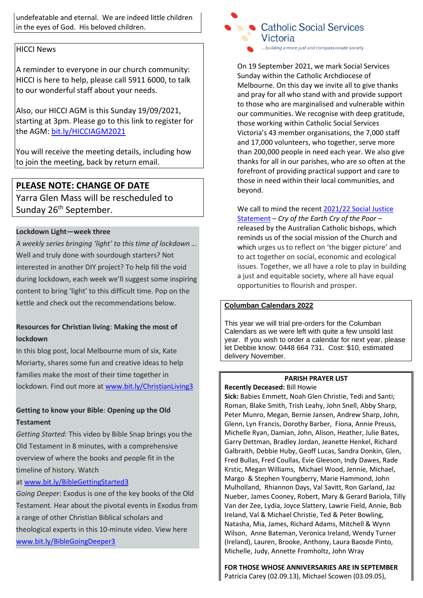undefeatable and eternal. We are indeed little children in the eyes of God. His beloved children.

## HICCI News

A reminder to everyone in our church community: HICCI is here to help, please call 5911 6000, to talk to our wonderful staff about your needs.

Also, our HICCI AGM is this Sunday 19/09/2021, starting at 3pm. Please go to this link to register for the AGM: [bit.ly/HICCIAGM2021](https://aus01.safelinks.protection.outlook.com/?url=http%3A%2F%2Fbit.ly%2FHICCIAGM2021&data=04%7C01%7Chealesville%40cam.org.au%7C0b38ecd9b7a54c18884708d97282c6d7%7C48ee20c7c8ea423c8b28f19801e34193%7C0%7C0%7C637666728278907754%7CUnknown%7CTWFpbGZsb3d8eyJWIjoiMC4wLjAwMDAiLCJQIjoiV2luMzIiLCJBTiI6Ik1haWwiLCJXVCI6Mn0%3D%7C1000&sdata=LXC7KYRtTidh0kHmS5nJeELIUG0NNDUidVQti3UD814%3D&reserved=0)

You will receive the meeting details, including how to join the meeting, back by return email.

# **PLEASE NOTE: CHANGE OF DATE**

Yarra Glen Mass will be rescheduled to Sunday 26<sup>th</sup> September.

#### **Lockdown Light—week three**

*A weekly series bringing 'light' to this time of lockdown …* Well and truly done with sourdough starters? Not interested in another DIY project? To help fill the void during lockdown, each week we'll suggest some inspiring content to bring 'light' to this difficult time. Pop on the kettle and check out the recommendations below.

## **Resources for Christian living**: **Making the most of lockdown**

In this blog post, local Melbourne mum of six, Kate Moriarty, shares some fun and creative ideas to help families make the most of their time together in lockdown. Find out more at [www.bit.ly/ChristianLiving3](https://aus01.safelinks.protection.outlook.com/?url=https%3A%2F%2Fcam.us7.list-manage.com%2Ftrack%2Fclick%3Fu%3Dfc5e55007fcc48e18a62679a5%26id%3D4e2faad35f%26e%3D6841384464&data=04%7C01%7CLilydale%40cam.org.au%7Cf2685ca4ffe34a44040408d978b6d198%7C48ee20c7c8ea423c8b28f19801e34193%7C0%7C0%7C637673548864421593%7CUnknown%7CTWFpbGZsb3d8eyJWIjoiMC4wLjAwMDAiLCJQIjoiV2luMzIiLCJBTiI6Ik1haWwiLCJXVCI6Mn0%3D%7C1000&sdata=zoMS6arYgKgzkWL%2Bjx8nNJk8W7frLNdB9wP8UV0hwA0%3D&reserved=0)

# **Getting to know your Bible**: **Opening up the Old Testament**

*Getting Started:* This video by Bible Snap brings you the Old Testament in 8 minutes, with a comprehensive overview of where the books and people fit in the timeline of history. Watch

## at [www.bit.ly/BibleGettingStarted3](https://aus01.safelinks.protection.outlook.com/?url=https%3A%2F%2Fcam.us7.list-manage.com%2Ftrack%2Fclick%3Fu%3Dfc5e55007fcc48e18a62679a5%26id%3D1d2fbdc3ed%26e%3D6841384464&data=04%7C01%7CLilydale%40cam.org.au%7Cf2685ca4ffe34a44040408d978b6d198%7C48ee20c7c8ea423c8b28f19801e34193%7C0%7C0%7C637673548864431585%7CUnknown%7CTWFpbGZsb3d8eyJWIjoiMC4wLjAwMDAiLCJQIjoiV2luMzIiLCJBTiI6Ik1haWwiLCJXVCI6Mn0%3D%7C1000&sdata=vELJGrtN1NFabRXSXicBoL56D0ZTI3spZ8t5woNzFXY%3D&reserved=0)

*Going Deeper:* Exodus is one of the key books of the Old Testament. Hear about the pivotal events in Exodus from a range of other Christian Biblical scholars and theological experts in this 10-minute video. View here [www.bit.ly/BibleGoingDeeper3](https://aus01.safelinks.protection.outlook.com/?url=https%3A%2F%2Fcam.us7.list-manage.com%2Ftrack%2Fclick%3Fu%3Dfc5e55007fcc48e18a62679a5%26id%3D584ae16cd9%26e%3D6841384464&data=04%7C01%7CLilydale%40cam.org.au%7Cf2685ca4ffe34a44040408d978b6d198%7C48ee20c7c8ea423c8b28f19801e34193%7C0%7C0%7C637673548864431585%7CUnknown%7CTWFpbGZsb3d8eyJWIjoiMC4wLjAwMDAiLCJQIjoiV2luMzIiLCJBTiI6Ik1haWwiLCJXVCI6Mn0%3D%7C1000&sdata=Kdq%2BFiiYNgZGGBjWI55zXh5w1sT5DigTqvGkiMyAEsY%3D&reserved=0)



On 19 September 2021, we mark Social Services Sunday within the Catholic Archdiocese of Melbourne. On this day we invite all to give thanks and pray for all who stand with and provide support to those who are marginalised and vulnerable within our communities. We recognise with deep gratitude, those working within Catholic Social Services Victoria's 43 member organisations, the 7,000 staff and 17,000 volunteers, who together, serve more than 200,000 people in need each year. We also give thanks for all in our parishes, who are so often at the forefront of providing practical support and care to those in need within their local communities, and beyond.

We call to mind the recen[t 2021/22 Social Justice](https://socialjustice.catholic.org.au/wp-content/uploads/2021/08/Social-Justice-Statement-2021-22.pdf)  [Statement](https://socialjustice.catholic.org.au/wp-content/uploads/2021/08/Social-Justice-Statement-2021-22.pdf) – *Cry of the Earth Cry of the Poor* – released by the Australian Catholic bishops, which reminds us of the social mission of the Church and which urges us to reflect on 'the bigger picture' and to act together on social, economic and ecological issues. Together, we all have a role to play in building a just and equitable society, where all have equal opportunities to flourish and prosper.

#### **Columban Calendars 2022**

This year we will trial pre-orders for the Columban Calendars as we were left with quite a few unsold last year. If you wish to order a calendar for next year, please let Debbie know: 0448 664 731. Cost: \$10, estimated delivery November.

#### **PARISH PRAYER LIST**

#### **Recently Deceased:** Bill Howie

**Sick:** Babies Emmett, Noah Glen Christie, Tedi and Santi; Roman, Blake Smith, Trish Leahy, John Snell, Abby Sharp, Peter Munro, Megan, Bernie Jansen, Andrew Sharp, John, Glenn, Lyn Francis, Dorothy Barber, Fiona, Annie Preuss, Michelle Ryan, Damian, John, Alison, Heather, Julie Bates, Garry Dettman, Bradley Jordan, Jeanette Henkel, Richard Galbraith, Debbie Huby, Geoff Lucas, Sandra Donkin, Glen, Fred Bullas, Fred Coullas, Evie Gleeson, Indy Dawes, Rade Krstic, Megan Williams, Michael Wood, Jennie, Michael, Margo & Stephen Youngberry, Marie Hammond, John Mulholland, Rhiannon Days, Val Savitt, Ron Garland, Jaz Nueber, James Cooney, Robert, Mary & Gerard Bariola, Tilly Van der Zee, Lydia, Joyce Slattery, Lawrie Field, Annie, Bob Ireland, Val & Michael Christie, Ted & Peter Bowling, Natasha, Mia, James, Richard Adams, Mitchell & Wynn Wilson, Anne Bateman, Veronica Ireland, Wendy Turner (Ireland), Lauren, Brooke, Anthony, Laura Baosde Pinto, Michelle, Judy, Annette Fromholtz, John Wray

**FOR THOSE WHOSE ANNIVERSARIES ARE IN SEPTEMBER** Patricia Carey (02.09.13), Michael Scowen (03.09.05),